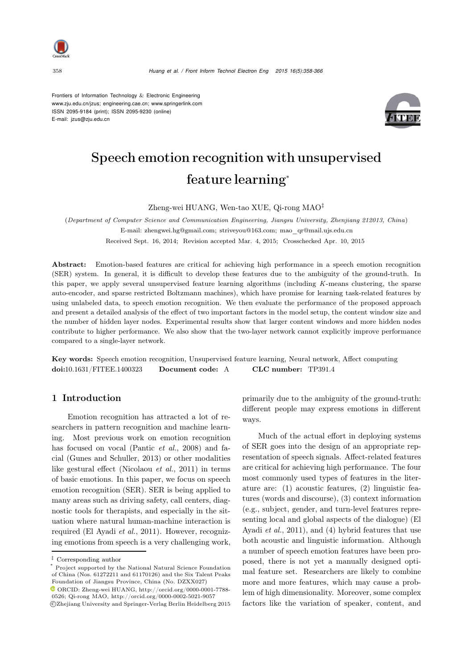

Frontiers of Information Technology & Electronic Engineering www.zju.edu.cn/jzus; engineering.cae.cn; www.springerlink.com ISSN 2095-9184 (print); ISSN 2095-9230 (online) E-mail: jzus@zju.edu.cn



# Speech emotion recognition with unsupervised feature learning<sup>∗</sup>

Zheng-wei HUANG, Wen-tao XUE, Qi-rong MAO*‡*

(*Department of Computer Science and Communication Engineering, Jiangsu University, Zhenjiang 212013, China*) E-mail: zhengwei.hg@gmail.com; striveyou@163.com; mao\_qr@mail.ujs.edu.cn Received Sept. 16, 2014; Revision accepted Mar. 4, 2015; Crosschecked Apr. 10, 2015

Abstract: Emotion-based features are critical for achieving high performance in a speech emotion recognition (SER) system. In general, it is difficult to develop these features due to the ambiguity of the ground-truth. In this paper, we apply several unsupervised feature learning algorithms (including *K*-means clustering, the sparse auto-encoder, and sparse restricted Boltzmann machines), which have promise for learning task-related features by using unlabeled data, to speech emotion recognition. We then evaluate the performance of the proposed approach and present a detailed analysis of the effect of two important factors in the model setup, the content window size and the number of hidden layer nodes. Experimental results show that larger content windows and more hidden nodes contribute to higher performance. We also show that the two-layer network cannot explicitly improve performance compared to a single-layer network.

Key words: Speech emotion recognition, Unsupervised feature learning, Neural network, Affect computing doi:10.1631/FITEE.1400323 Document code: A CLC number: TP391.4

# 1 Introduction

Emotion recognition has attracted a lot of researchers in pattern recognition and machine learning. Most previous work on emotion recognition has focused on vocal [\(Pantic](#page-7-0) *et al.*, [2008\)](#page-7-0) and facial [\(Gunes and Schuller, 2013](#page-7-1)) or other modalities like gestural effect [\(Nicolaou](#page-7-2) *et al.*, [2011\)](#page-7-2) in terms of basic emotions. In this paper, we focus on speech emotion recognition (SER). SER is being applied to many areas such as driving safety, call centers, diagnostic tools for therapists, and especially in the situation where natural human-machine interaction is required [\(El Ayadi](#page-7-3) *et al.*, [2011](#page-7-3)). However, recognizing emotions from speech is a very challenging work,

c Zhejiang University and Springer-Verlag Berlin Heidelberg 2015

primarily due to the ambiguity of the ground-truth: different people may express emotions in different ways.

Much of the actual effort in deploying systems of SER goes into the design of an appropriate representation of speech signals. Affect-related features are critical for achieving high performance. The four most commonly used types of features in the literature are: (1) acoustic features, (2) linguistic features (words and discourse), (3) context information (e.g., subject, gender, and turn-level features representing loc[al](#page-7-3) [and](#page-7-3) [global](#page-7-3) [aspects](#page-7-3) [of](#page-7-3) [the](#page-7-3) [dialogue\)](#page-7-3) [\(](#page-7-3)El Ayadi *et al.*, [2011](#page-7-3)), and (4) hybrid features that use both acoustic and linguistic information. Although a number of speech emotion features have been proposed, there is not yet a manually designed optimal feature set. Researchers are likely to combine more and more features, which may cause a problem of high dimensionality. Moreover, some complex factors like the variation of speaker, content, and

*<sup>‡</sup>* Corresponding author

Project supported by the National Natural Science Foundation of China (Nos. 61272211 and 61170126) and the Six Talent Peaks Foundation of Jiangsu Province, China (No. DZXX027)

 $\bullet$  ORCID: Zheng-wei HUANG, http://orcid.org/0000-0001-7788-0526; Qi-rong MAO, http://orcid.org/0000-0002-5021-9057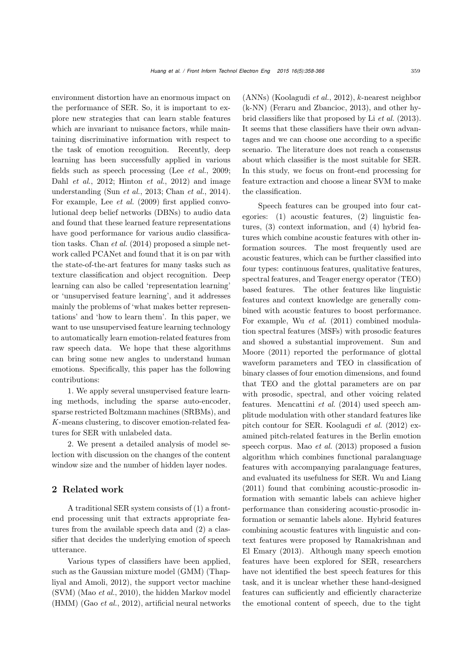environment distortion have an enormous impact on the performance of SER. So, it is important to explore new strategies that can learn stable features which are invariant to nuisance factors, while maintaining discriminative information with respect to the task of emotion recognition. Recently, deep learning has been successfully applied in various fields such as speech processing (Lee *[et al.](#page-7-4)*, [2009;](#page-7-4) Dahl *[et al.](#page-7-5)*, [2012](#page-7-5); [Hinton](#page-7-6) *et al.*, [2012](#page-7-6)) and image understanding (Sun *[et al.](#page-8-0)*, [2013;](#page-8-0) [Chan](#page-7-7) *et al.*, [2014\)](#page-7-7). For example, Lee *[et al.](#page-7-4)* [\(2009](#page-7-4)) first applied convolutional deep belief networks (DBNs) to audio data and found that these learned feature representations have good performance for various audio classification tasks. [Chan](#page-7-7) *et al.* [\(2014](#page-7-7)) proposed a simple network called PCANet and found that it is on par with the state-of-the-art features for many tasks such as texture classification and object recognition. Deep learning can also be called 'representation learning' or 'unsupervised feature learning', and it addresses mainly the problems of 'what makes better representations' and 'how to learn them'. In this paper, we want to use unsupervised feature learning technology to automatically learn emotion-related features from raw speech data. We hope that these algorithms can bring some new angles to understand human emotions. Specifically, this paper has the following contributions:

1. We apply several unsupervised feature learning methods, including the sparse auto-encoder, sparse restricted Boltzmann machines (SRBMs), and *K*-means clustering, to discover emotion-related features for SER with unlabeled data.

2. We present a detailed analysis of model selection with discussion on the changes of the content window size and the number of hidden layer nodes.

# 2 Related work

A traditional SER system consists of (1) a frontend processing unit that extracts appropriate features from the available speech data and (2) a classifier that decides the underlying emotion of speech utterance.

Various types of classifiers have been applied, such as the Ga[ussian](#page-8-1) [mixture](#page-8-1) [model](#page-8-1) [\(GMM\)](#page-8-1) [\(](#page-8-1)Thapliyal and Amoli, [2012](#page-8-1)), the support vector machine (SVM) (Mao *[et al.](#page-7-8)*, [2010](#page-7-8)), the hidden Markov model (HMM) (Gao *[et al.](#page-7-9)*, [2012](#page-7-9)), artificial neural networks (ANNs) [\(Koolagudi](#page-7-10) *et al.*, [2012](#page-7-10)), k-nearest neighbor (k-NN) [\(Feraru and Zbancioc](#page-7-11), [2013\)](#page-7-11), and other hybrid classifiers like that proposed by Li *[et al.](#page-7-12)* [\(2013\)](#page-7-12). It seems that these classifiers have their own advantages and we can choose one according to a specific scenario. The literature does not reach a consensus about which classifier is the most suitable for SER. In this study, we focus on front-end processing for feature extraction and choose a linear SVM to make the classification.

Speech features can be grouped into four categories: (1) acoustic features, (2) linguistic features, (3) context information, and (4) hybrid features which combine acoustic features with other information sources. The most frequently used are acoustic features, which can be further classified into four types: continuous features, qualitative features, spectral features, and Teager energy operator (TEO) based features. The other features like linguistic features and context knowledge are generally combined with acoustic features to boost performance. For example, Wu *[et al.](#page-8-2)* [\(2011\)](#page-8-2) combined modulation spectral features (MSFs) with prosodic features and s[howed](#page-8-3) [a](#page-8-3) [substantial](#page-8-3) [improvement.](#page-8-3) Sun and Moore [\(2011\)](#page-8-3) reported the performance of glottal waveform parameters and TEO in classification of binary classes of four emotion dimensions, and found that TEO and the glottal parameters are on par with prosodic, spectral, and other voicing related features. [Mencattini](#page-7-13) *et al.* [\(2014](#page-7-13)) used speech amplitude modulation with other standard features like pitch contour for SER. [Koolagudi](#page-7-10) *et al.* [\(2012](#page-7-10)) examined pitch-related features in the Berlin emotion speech corpus. Mao *[et al.](#page-7-14)* [\(2013\)](#page-7-14) proposed a fusion algorithm which combines functional paralanguage features with accompanying paralanguage features, and evaluated its usefulness for SER. [Wu and Liang](#page-8-4) [\(2011](#page-8-4)) found that combining acoustic-prosodic information with semantic labels can achieve higher performance than considering acoustic-prosodic information or semantic labels alone. Hybrid features combining acoustic features with linguistic and context feat[ures](#page-7-15) [were](#page-7-15) [proposed](#page-7-15) [by](#page-7-15) Ramakrishnan and El Emary [\(2013](#page-7-15)). Although many speech emotion features have been explored for SER, researchers have not identified the best speech features for this task, and it is unclear whether these hand-designed features can sufficiently and efficiently characterize the emotional content of speech, due to the tight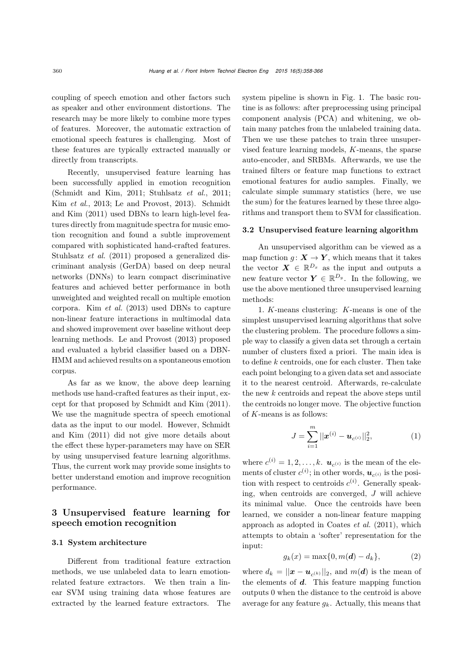coupling of speech emotion and other factors such as speaker and other environment distortions. The research may be more likely to combine more types of features. Moreover, the automatic extraction of emotional speech features is challenging. Most of these features are typically extracted manually or directly from transcripts.

Recently, unsupervised feature learning has been successfully applied in emotion recognition [\(Schmidt and Kim](#page-8-5), [2011;](#page-8-5) [Stuhlsatz](#page-8-6) *et al.*, [2011;](#page-8-6) Kim *[et al.](#page-7-16)*[,](#page-8-5) [2013](#page-7-16)[;](#page-8-5) [Le and Provost](#page-7-17)[,](#page-8-5) [2013](#page-7-17)[\).](#page-8-5) Schmidt and Kim [\(2011](#page-8-5)) used DBNs to learn high-level features directly from magnitude spectra for music emotion recognition and found a subtle improvement compared with sophisticated hand-crafted features. [Stuhlsatz](#page-8-6) *et al.* [\(2011](#page-8-6)) proposed a generalized discriminant analysis (GerDA) based on deep neural networks (DNNs) to learn compact discriminative features and achieved better performance in both unweighted and weighted recall on multiple emotion corpora. Kim *[et al.](#page-7-16)* [\(2013\)](#page-7-16) used DBNs to capture non-linear feature interactions in multimodal data and showed improvement over baseline without deep learning methods. [Le and Provost](#page-7-17) [\(2013\)](#page-7-17) proposed and evaluated a hybrid classifier based on a DBN-HMM and achieved results on a spontaneous emotion corpus.

As far as we know, the above deep learning methods use hand-crafted features as their input, except for that proposed by [Schmidt and Kim](#page-8-5) [\(2011\)](#page-8-5). We use the magnitude spectra of speech emotional data as t[he](#page-8-5) [input](#page-8-5) [to](#page-8-5) [our](#page-8-5) [model.](#page-8-5) [However,](#page-8-5) Schmidt and Kim [\(2011\)](#page-8-5) did not give more details about the effect these hyper-parameters may have on SER by using unsupervised feature learning algorithms. Thus, the current work may provide some insights to better understand emotion and improve recognition performance.

# 3 Unsupervised feature learning for speech emotion recognition

#### 3.1 System architecture

Different from traditional feature extraction methods, we use unlabeled data to learn emotionrelated feature extractors. We then train a linear SVM using training data whose features are extracted by the learned feature extractors. The system pipeline is shown in Fig. [1.](#page-3-0) The basic routine is as follows: after preprocessing using principal component analysis (PCA) and whitening, we obtain many patches from the unlabeled training data. Then we use these patches to train three unsupervised feature learning models, K-means, the sparse auto-encoder, and SRBMs. Afterwards, we use the trained filters or feature map functions to extract emotional features for audio samples. Finally, we calculate simple summary statistics (here, we use the sum) for the features learned by these three algorithms and transport them to SVM for classification.

#### 3.2 Unsupervised feature learning algorithm

An unsupervised algorithm can be viewed as a map function  $g: \mathbf{X} \to \mathbf{Y}$ , which means that it takes the vector  $\mathbf{X} \in \mathbb{R}^{D_x}$  as the input and outputs a new feature vector  $\mathbf{Y} \in \mathbb{R}^{D_y}$ . In the following, we use the above mentioned three unsupervised learning methods:

1. K-means clustering: K-means is one of the simplest unsupervised learning algorithms that solve the clustering problem. The procedure follows a simple way to classify a given data set through a certain number of clusters fixed a priori. The main idea is to define k centroids, one for each cluster. Then take each point belonging to a given data set and associate it to the nearest centroid. Afterwards, re-calculate the new  $k$  centroids and repeat the above steps until the centroids no longer move. The objective function of K-means is as follows:

$$
J = \sum_{i=1}^{m} ||\boldsymbol{x}^{(i)} - \boldsymbol{u}_{c^{(i)}}||_2^2, \tag{1}
$$

where  $c^{(i)} = 1, 2, \ldots, k$ .  $\mathbf{u}_{c^{(i)}}$  is the mean of the elements of cluster  $c^{(i)}$ ; in other words,  $u_{c^{(i)}}$  is the position with respect to centroids  $c^{(i)}$ . Generally speaking, when centroids are converged, J will achieve its minimal value. Once the centroids have been learned, we consider a non-linear feature mapping approach as adopted in [Coates](#page-7-18) *et al.* [\(2011\)](#page-7-18), which attempts to obtain a 'softer' representation for the input:

$$
g_k(x) = \max\{0, m(d) - d_k\},
$$
 (2)

where  $d_k = ||\mathbf{x} - \mathbf{u}_{c^{(k)}}||_2$ , and  $m(\mathbf{d})$  is the mean of the elements of *d*. This feature mapping function outputs 0 when the distance to the centroid is above average for any feature  $g_k$ . Actually, this means that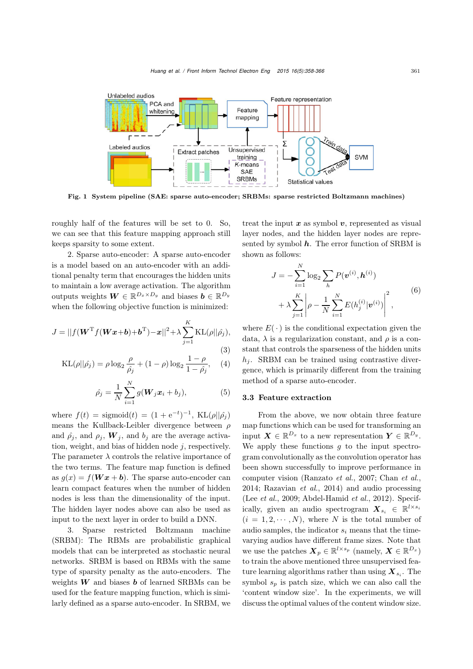

<span id="page-3-0"></span>Fig. 1 System pipeline (SAE: sparse auto-encoder; SRBMs: sparse restricted Boltzmann machines)

roughly half of the features will be set to 0. So, we can see that this feature mapping approach still keeps sparsity to some extent.

2. Sparse auto-encoder: A sparse auto-encoder is a model based on an auto-encoder with an additional penalty term that encourages the hidden units to maintain a low average activation. The algorithm outputs weights  $W \in \mathbb{R}^{D_x \times D_y}$  and biases  $b \in \mathbb{R}^{D_y}$ when the following objective function is minimized:

$$
J = ||f(\boldsymbol{W}^{\mathrm{T}}f(\boldsymbol{W}\boldsymbol{x}+\boldsymbol{b})+\boldsymbol{b}^{\mathrm{T}})-\boldsymbol{x}||^{2} + \lambda \sum_{j=1}^{K} \mathrm{KL}(\rho||\hat{\rho}_{j}),
$$
\n(3)

$$
KL(\rho||\hat{\rho_j}) = \rho \log_2 \frac{\rho}{\hat{\rho_j}} + (1 - \rho) \log_2 \frac{1 - \rho}{1 - \hat{\rho_j}}, \quad (4)
$$

$$
\hat{\rho}_j = \frac{1}{N} \sum_{i=1}^N g(\boldsymbol{W}_j \boldsymbol{x}_i + b_j), \tag{5}
$$

where  $f(t) = \text{sigmoid}(t) = (1 + e^{-t})^{-1}$ , KL $(\rho||\hat{\rho_j})$ means the Kullback-Leibler divergence between  $\rho$ and  $\rho_j$ , and  $\rho_j$ ,  $\boldsymbol{W}_j$ , and  $b_j$  are the average activation, weight, and bias of hidden node  $j$ , respectively. The parameter  $\lambda$  controls the relative importance of the two terms. The feature map function is defined as  $g(x) = f(\boldsymbol{W} x + \boldsymbol{b})$ . The sparse auto-encoder can learn compact features when the number of hidden nodes is less than the dimensionality of the input. The hidden layer nodes above can also be used as input to the next layer in order to build a DNN.

3. Sparse restricted Boltzmann machine (SRBM): The RBMs are probabilistic graphical models that can be interpreted as stochastic neural networks. SRBM is based on RBMs with the same type of sparsity penalty as the auto-encoders. The weights *W* and biases *b* of learned SRBMs can be used for the feature mapping function, which is similarly defined as a sparse auto-encoder. In SRBM, we

treat the input  $x$  as symbol  $v$ , represented as visual layer nodes, and the hidden layer nodes are represented by symbol *h*. The error function of SRBM is shown as follows:

$$
J = -\sum_{i=1}^{N} \log_2 \sum_{h} P(\mathbf{v}^{(i)}, \mathbf{h}^{(i)}) + \lambda \sum_{j=1}^{K} \left| \rho - \frac{1}{N} \sum_{i=1}^{N} E(h_j^{(i)} | \mathbf{v}^{(i)}) \right|^2,
$$
(6)

where  $E(\cdot)$  is the conditional expectation given the data,  $\lambda$  is a regularization constant, and  $\rho$  is a constant that controls the sparseness of the hidden units h*j*. SRBM can be trained using contrastive divergence, which is primarily different from the training method of a sparse auto-encoder.

#### 3.3 Feature extraction

From the above, we now obtain three feature map functions which can be used for transforming an input  $\mathbf{X} \in \mathbb{R}^{D_x}$  to a new representation  $\mathbf{Y} \in \mathbb{R}^{D_y}$ . We apply these functions  $q$  to the input spectrogram convolutionally as the convolution operator has been shown successfully to improve performance in computer vision [\(Ranzato](#page-7-19) *et al.*, [2007;](#page-7-19) [Chan](#page-7-7) *et al.*, [2014](#page-7-7); [Razavian](#page-8-7) *et al.*, [2014\)](#page-8-7) and audio processing (Lee *[et al.](#page-7-4)*, [2009](#page-7-4); [Abdel-Hamid](#page-7-20) *et al.*, [2012\)](#page-7-20). Specifically, given an audio spectrogram  $\mathbf{X}_{s_i} \in \mathbb{R}^{l \times s_i}$  $(i = 1, 2, \dots, N)$ , where N is the total number of audio samples, the indicator  $s_i$  means that the timevarying audios have different frame sizes. Note that we use the patches  $\mathbf{X}_p \in \mathbb{R}^{l \times s_p}$  (namely,  $\mathbf{X} \in \mathbb{R}^{D_x}$ ) to train the above mentioned three unsupervised feature learning algorithms rather than using  $\mathbf{X}_{s_i}$ . The symbol  $s_p$  is patch size, which we can also call the 'content window size'. In the experiments, we will discuss the optimal values of the content window size.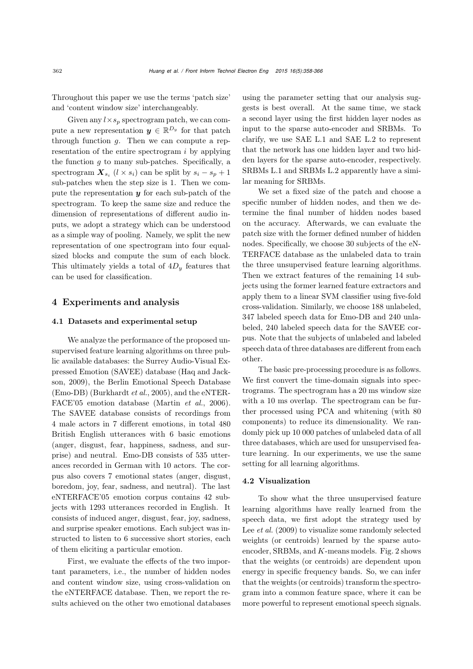Throughout this paper we use the terms 'patch size' and 'content window size' interchangeably.

Given any  $l \times s_p$  spectrogram patch, we can compute a new representation  $y \in \mathbb{R}^{D_y}$  for that patch through function  $g$ . Then we can compute a representation of the entire spectrogram  $i$  by applying the function  $g$  to many sub-patches. Specifically, a spectrogram  $\mathbf{X}_{s_i}$  ( $l \times s_i$ ) can be split by  $s_i - s_p + 1$ sub-patches when the step size is 1. Then we compute the representation *y* for each sub-patch of the spectrogram. To keep the same size and reduce the dimension of representations of different audio inputs, we adopt a strategy which can be understood as a simple way of pooling. Namely, we split the new representation of one spectrogram into four equalsized blocks and compute the sum of each block. This ultimately yields a total of 4D*<sup>y</sup>* features that can be used for classification.

### 4 Experiments and analysis

#### 4.1 Datasets and experimental setup

We analyze the performance of the proposed unsupervised feature learning algorithms on three public available databases: the Surrey Audio-Visual Expre[ssed](#page-7-21) [Emotion](#page-7-21) [\(SAVEE\)](#page-7-21) [database](#page-7-21) [\(](#page-7-21)Haq and Jackson, [2009\)](#page-7-21), the Berlin Emotional Speech Database (Emo-DB) [\(Burkhardt](#page-7-22) *et al.*, [2005\)](#page-7-22), and the eNTER-FACE'05 emotion database [\(Martin](#page-7-23) *et al.*, [2006\)](#page-7-23). The SAVEE database consists of recordings from 4 male actors in 7 different emotions, in total 480 British English utterances with 6 basic emotions (anger, disgust, fear, happiness, sadness, and surprise) and neutral. Emo-DB consists of 535 utterances recorded in German with 10 actors. The corpus also covers 7 emotional states (anger, disgust, boredom, joy, fear, sadness, and neutral). The last eNTERFACE'05 emotion corpus contains 42 subjects with 1293 utterances recorded in English. It consists of induced anger, disgust, fear, joy, sadness, and surprise speaker emotions. Each subject was instructed to listen to 6 successive short stories, each of them eliciting a particular emotion.

First, we evaluate the effects of the two important parameters, i.e., the number of hidden nodes and content window size, using cross-validation on the eNTERFACE database. Then, we report the results achieved on the other two emotional databases using the parameter setting that our analysis suggests is best overall. At the same time, we stack a second layer using the first hidden layer nodes as input to the sparse auto-encoder and SRBMs. To clarify, we use SAE L.1 and SAE L.2 to represent that the network has one hidden layer and two hidden layers for the sparse auto-encoder, respectively. SRBMs L.1 and SRBMs L.2 apparently have a similar meaning for SRBMs.

We set a fixed size of the patch and choose a specific number of hidden nodes, and then we determine the final number of hidden nodes based on the accuracy. Afterwards, we can evaluate the patch size with the former defined number of hidden nodes. Specifically, we choose 30 subjects of the eN-TERFACE database as the unlabeled data to train the three unsupervised feature learning algorithms. Then we extract features of the remaining 14 subjects using the former learned feature extractors and apply them to a linear SVM classifier using five-fold cross-validation. Similarly, we choose 188 unlabeled, 347 labeled speech data for Emo-DB and 240 unlabeled, 240 labeled speech data for the SAVEE corpus. Note that the subjects of unlabeled and labeled speech data of three databases are different from each other.

The basic pre-processing procedure is as follows. We first convert the time-domain signals into spectrograms. The spectrogram has a 20 ms window size with a 10 ms overlap. The spectrogram can be further processed using PCA and whitening (with 80 components) to reduce its dimensionality. We randomly pick up 10 000 patches of unlabeled data of all three databases, which are used for unsupervised feature learning. In our experiments, we use the same setting for all learning algorithms.

#### 4.2 Visualization

To show what the three unsupervised feature learning algorithms have really learned from the speech data, we first adopt the strategy used by Lee *[et al.](#page-7-4)* [\(2009\)](#page-7-4) to visualize some randomly selected weights (or centroids) learned by the sparse autoencoder, SRBMs, and K-means models. Fig. [2](#page-5-0) shows that the weights (or centroids) are dependent upon energy in specific frequency bands. So, we can infer that the weights (or centroids) transform the spectrogram into a common feature space, where it can be more powerful to represent emotional speech signals.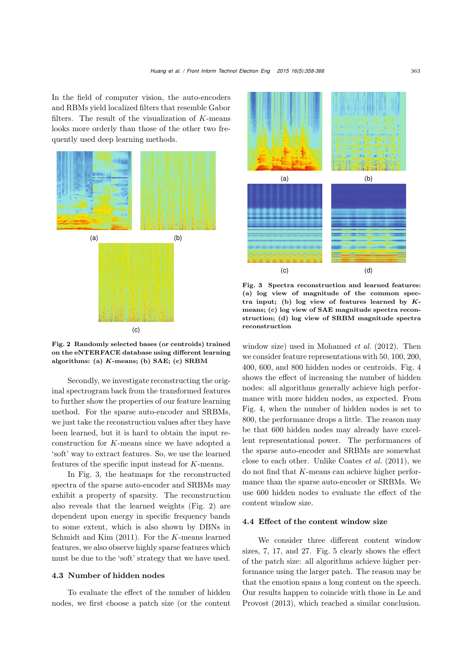In the field of computer vision, the auto-encoders and RBMs yield localized filters that resemble Gabor filters. The result of the visualization of K-means looks more orderly than those of the other two frequently used deep learning methods.



<span id="page-5-0"></span>Fig. 2 Randomly selected bases (or centroids) trained on the eNTERFACE database using different learning algorithms: (a) *K*-means; (b) SAE; (c) SRBM

Secondly, we investigate reconstructing the original spectrogram back from the transformed features to further show the properties of our feature learning method. For the sparse auto-encoder and SRBMs, we just take the reconstruction values after they have been learned, but it is hard to obtain the input reconstruction for K-means since we have adopted a 'soft' way to extract features. So, we use the learned features of the specific input instead for K-means.

In Fig. [3,](#page-5-1) the heatmaps for the reconstructed spectra of the sparse auto-encoder and SRBMs may exhibit a property of sparsity. The reconstruction also reveals that the learned weights (Fig. [2\)](#page-5-0) are dependent upon energy in specific frequency bands to some extent, which is also shown by DBNs in [Schmidt and Kim](#page-8-5) [\(2011](#page-8-5)). For the K-means learned features, we also observe highly sparse features which must be due to the 'soft' strategy that we have used.

#### 4.3 Number of hidden nodes

To evaluate the effect of the number of hidden nodes, we first choose a patch size (or the content



<span id="page-5-1"></span>Fig. 3 Spectra reconstruction and learned features: (a) log view of magnitude of the common spectra input; (b) log view of features learned by *K*means; (c) log view of SAE magnitude spectra reconstruction; (d) log view of SRBM magnitude spectra reconstruction

window size) used in [Mohamed](#page-7-24) *et al.* [\(2012](#page-7-24)). Then we consider feature representations with 50, 100, 200, 400, 600, and 800 hidden nodes or centroids. Fig. [4](#page-6-0) shows the effect of increasing the number of hidden nodes: all algorithms generally achieve high performance with more hidden nodes, as expected. From Fig. [4,](#page-6-0) when the number of hidden nodes is set to 800, the performance drops a little. The reason may be that 600 hidden nodes may already have excellent representational power. The performances of the sparse auto-encoder and SRBMs are somewhat close to each other. Unlike [Coates](#page-7-18) *et al.* [\(2011\)](#page-7-18), we do not find that K-means can achieve higher performance than the sparse auto-encoder or SRBMs. We use 600 hidden nodes to evaluate the effect of the content window size.

#### 4.4 Effect of the content window size

We consider three different content window sizes, 7, 17, and 27. Fig. [5](#page-6-1) clearly shows the effect of the patch size: all algorithms achieve higher performance using the larger patch. The reason may be that the emotion spans a long content on the speech. Our res[ults](#page-7-17) [happen](#page-7-17) [to](#page-7-17) [coincide](#page-7-17) [with](#page-7-17) [those](#page-7-17) [in](#page-7-17) Le and Provost [\(2013\)](#page-7-17), which reached a similar conclusion.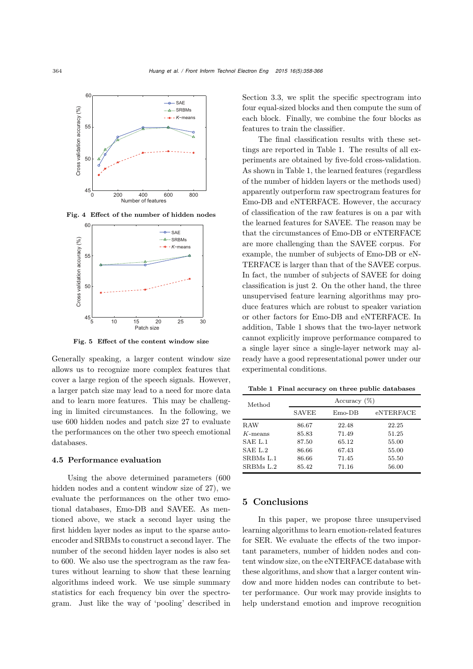

Fig. 4 Effect of the number of hidden nodes

<span id="page-6-0"></span>

<span id="page-6-1"></span>Fig. 5 Effect of the content window size

Generally speaking, a larger content window size allows us to recognize more complex features that cover a large region of the speech signals. However, a larger patch size may lead to a need for more data and to learn more features. This may be challenging in limited circumstances. In the following, we use 600 hidden nodes and patch size 27 to evaluate the performances on the other two speech emotional databases.

#### 4.5 Performance evaluation

Using the above determined parameters (600 hidden nodes and a content window size of 27), we evaluate the performances on the other two emotional databases, Emo-DB and SAVEE. As mentioned above, we stack a second layer using the first hidden layer nodes as input to the sparse autoencoder and SRBMs to construct a second layer. The number of the second hidden layer nodes is also set to 600. We also use the spectrogram as the raw features without learning to show that these learning algorithms indeed work. We use simple summary statistics for each frequency bin over the spectrogram. Just like the way of 'pooling' described in

Section 3.3, we split the specific spectrogram into four equal-sized blocks and then compute the sum of each block. Finally, we combine the four blocks as features to train the classifier.

The final classification results with these settings are reported in Table [1.](#page-6-2) The results of all experiments are obtained by five-fold cross-validation. As shown in Table [1,](#page-6-2) the learned features (regardless of the number of hidden layers or the methods used) apparently outperform raw spectrogram features for Emo-DB and eNTERFACE. However, the accuracy of classification of the raw features is on a par with the learned features for SAVEE. The reason may be that the circumstances of Emo-DB or eNTERFACE are more challenging than the SAVEE corpus. For example, the number of subjects of Emo-DB or eN-TERFACE is larger than that of the SAVEE corpus. In fact, the number of subjects of SAVEE for doing classification is just 2. On the other hand, the three unsupervised feature learning algorithms may produce features which are robust to speaker variation or other factors for Emo-DB and eNTERFACE. In addition, Table [1](#page-6-2) shows that the two-layer network cannot explicitly improve performance compared to a single layer since a single-layer network may already have a good representational power under our experimental conditions.

<span id="page-6-2"></span>Table 1 Final accuracy on three public databases

| Method     | Accuracy $(\%)$ |          |           |
|------------|-----------------|----------|-----------|
|            | <b>SAVEE</b>    | $Emo-DB$ | eNTERFACE |
| RAW        | 86.67           | 22.48    | 22.25     |
| $K$ -means | 85.83           | 71.49    | 51.25     |
| SAE L1     | 87.50           | 65.12    | 55.00     |
| SAE L2     | 86.66           | 67.43    | 55.00     |
| SRBMs L.1  | 86.66           | 71.45    | 55.50     |
| SRBMs L.2  | 85.42           | 71.16    | 56.00     |

## 5 Conclusions

In this paper, we propose three unsupervised learning algorithms to learn emotion-related features for SER. We evaluate the effects of the two important parameters, number of hidden nodes and content window size, on the eNTERFACE database with these algorithms, and show that a larger content window and more hidden nodes can contribute to better performance. Our work may provide insights to help understand emotion and improve recognition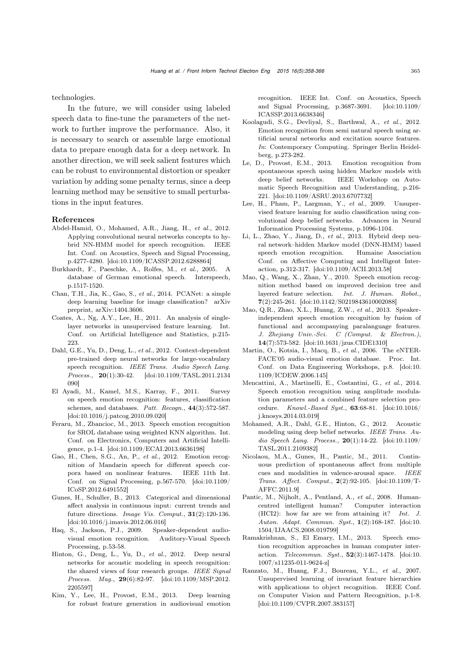technologies.

In the future, we will consider using labeled speech data to fine-tune the parameters of the network to further improve the performance. Also, it is necessary to search or assemble large emotional data to prepare enough data for a deep network. In another direction, we will seek salient features which can be robust to environmental distortion or speaker variation by adding some penalty terms, since a deep learning method may be sensitive to small perturbations in the input features.

#### References

- <span id="page-7-20"></span>Abdel-Hamid, O., Mohamed, A.R., Jiang, H., *et al.*, 2012. Applying convolutional neural networks concepts to hybrid NN-HMM model for speech recognition. IEEE Int. Conf. on Acoustics, Speech and Signal Processing, p.4277-4280. [\[doi:10.1109/ICASSP.2012.6288864\]](http://dx.doi.org/10.1109/ICASSP.2012.6288864)
- <span id="page-7-22"></span>Burkhardt, F., Paeschke, A., Rolfes, M., *et al.*, 2005. A database of German emotional speech. Interspeech, p.1517-1520.
- <span id="page-7-7"></span>Chan, T.H., Jia, K., Gao, S., *et al.*, 2014. PCANet: a simple deep learning baseline for image classification? arXiv preprint, arXiv:1404.3606.
- <span id="page-7-18"></span>Coates, A., Ng, A.Y., Lee, H., 2011. An analysis of singlelayer networks in unsupervised feature learning. Int. Conf. on Artificial Intelligence and Statistics, p.215- 223.
- <span id="page-7-5"></span>Dahl, G.E., Yu, D., Deng, L., *et al.*, 2012. Context-dependent pre-trained deep neural networks for large-vocabulary speech recognition. *IEEE Trans. Audio Speech Lang. Process.*, 20(1):30-42. [\[doi:10.1109/TASL.2011.2134](http://dx.doi.org/10.1109/TASL.2011.2134090) [090\]](http://dx.doi.org/10.1109/TASL.2011.2134090)
- <span id="page-7-3"></span>El Ayadi, M., Kamel, M.S., Karray, F., 2011. Survey on speech emotion recognition: features, classification schemes, and databases. *Patt. Recogn.*, 44(3):572-587. [\[doi:10.1016/j.patcog.2010.09.020\]](http://dx.doi.org/10.1016/j.patcog.2010.09.020)
- <span id="page-7-11"></span>Feraru, M., Zbancioc, M., 2013. Speech emotion recognition for SROL database using weighted KNN algorithm. Int. Conf. on Electronics, Computers and Artificial Intelligence, p.1-4. [\[doi:10.1109/ECAI.2013.6636198\]](http://dx.doi.org/10.1109/ECAI.2013.6636198)
- <span id="page-7-9"></span>Gao, H., Chen, S.G., An, P., *et al.*, 2012. Emotion recognition of Mandarin speech for different speech corpora based on nonlinear features. IEEE 11th Int. Conf. on Signal Processing, p.567-570. [\[doi:10.1109/](http://dx.doi.org/10.1109/ICoSP.2012.6491552) [ICoSP.2012.6491552\]](http://dx.doi.org/10.1109/ICoSP.2012.6491552)
- <span id="page-7-1"></span>Gunes, H., Schuller, B., 2013. Categorical and dimensional affect analysis in continuous input: current trends and future directions. *Image Vis. Comput.*, 31(2):120-136. [\[doi:10.1016/j.imavis.2012.06.016\]](http://dx.doi.org/10.1016/j.imavis.2012.06.016)
- <span id="page-7-21"></span>Haq, S., Jackson, P.J., 2009. Speaker-dependent audiovisual emotion recognition. Auditory-Visual Speech Processing, p.53-58.
- <span id="page-7-6"></span>Hinton, G., Deng, L., Yu, D., *et al.*, 2012. Deep neural networks for acoustic modeling in speech recognition: the shared views of four research groups. *IEEE Signal Process. Mag.*, 29(6):82-97. [\[doi:10.1109/MSP.2012.](http://dx.doi.org/10.1109/MSP.2012.2205597) [2205597\]](http://dx.doi.org/10.1109/MSP.2012.2205597)
- <span id="page-7-16"></span>Kim, Y., Lee, H., Provost, E.M., 2013. Deep learning for robust feature generation in audiovisual emotion

recognition. IEEE Int. Conf. on Acoustics, Speech and Signal Processing, p.3687-3691. [\[doi:10.1109/](http://dx.doi.org/10.1109/ICASSP.2013.6638346) [ICASSP.2013.6638346\]](http://dx.doi.org/10.1109/ICASSP.2013.6638346)

- <span id="page-7-10"></span>Koolagudi, S.G., Devliyal, S., Barthwal, A., *et al.*, 2012. Emotion recognition from semi natural speech using artificial neural networks and excitation source features. *In*: Contemporary Computing. Springer Berlin Heidelberg, p.273-282.
- <span id="page-7-17"></span>Le, D., Provost, E.M., 2013. Emotion recognition from spontaneous speech using hidden Markov models with deep belief networks. IEEE Workshop on Automatic Speech Recognition and Understanding, p.216- 221. [\[doi:10.1109/ASRU.2013.6707732\]](http://dx.doi.org/10.1109/ASRU.2013.6707732)
- <span id="page-7-4"></span>Lee, H., Pham, P., Largman, Y., *et al.*, 2009. Unsupervised feature learning for audio classification using convolutional deep belief networks. Advances in Neural Information Processing Systems, p.1096-1104.
- <span id="page-7-12"></span>Li, L., Zhao, Y., Jiang, D., *et al.*, 2013. Hybrid deep neural network–hidden Markov model (DNN-HMM) based speech emotion recognition. Humaine Association Conf. on Affective Computing and Intelligent Interaction, p.312-317. [\[doi:10.1109/ACII.2013.58\]](http://dx.doi.org/10.1109/ACII.2013.58)
- <span id="page-7-8"></span>Mao, Q., Wang, X., Zhan, Y., 2010. Speech emotion recognition method based on improved decision tree and layered feature selection. *Int. J. Human. Robot.*, 7(2):245-261. [\[doi:10.1142/S0219843610002088\]](http://dx.doi.org/10.1142/S0219843610002088)
- <span id="page-7-14"></span>Mao, Q.R., Zhao, X.L., Huang, Z.W., *et al.*, 2013. Speakerindependent speech emotion recognition by fusion of functional and accompanying paralanguage features. *J. Zhejiang Univ.-Sci. C (Comput.* & *Electron.)*, 14(7):573-582. [\[doi:10.1631/jzus.CIDE1310\]](http://dx.doi.org/10.1631/jzus.CIDE1310)
- <span id="page-7-23"></span>Martin, O., Kotsia, I., Macq, B., *et al.*, 2006. The eNTER-FACE'05 audio-visual emotion database. Proc. Int. Conf. on Data Engineering Workshops, p.8. [\[doi:10.](http://dx.doi.org/10.1109/ICDEW.2006.145) [1109/ICDEW.2006.145\]](http://dx.doi.org/10.1109/ICDEW.2006.145)
- <span id="page-7-13"></span>Mencattini, A., Martinelli, E., Costantini, G., *et al.*, 2014. Speech emotion recognition using amplitude modulation parameters and a combined feature selection procedure. *Knowl.-Based Syst.*, 63:68-81. [\[doi:10.1016/](http://dx.doi.org/10.1016/j.knosys.2014.03.019) [j.knosys.2014.03.019\]](http://dx.doi.org/10.1016/j.knosys.2014.03.019)
- <span id="page-7-24"></span>Mohamed, A.R., Dahl, G.E., Hinton, G., 2012. Acoustic modeling using deep belief networks. *IEEE Trans. Audio Speech Lang. Process.*, 20(1):14-22. [\[doi:10.1109/](http://dx.doi.org/10.1109/TASL.2011.2109382) [TASL.2011.2109382\]](http://dx.doi.org/10.1109/TASL.2011.2109382)
- <span id="page-7-2"></span>Nicolaou, M.A., Gunes, H., Pantic, M., 2011. Continuous prediction of spontaneous affect from multiple cues and modalities in valence-arousal space. *IEEE Trans. Affect. Comput.*, 2(2):92-105. [\[doi:10.1109/T-](http://dx.doi.org/10.1109/T-AFFC.2011.9)[AFFC.2011.9\]](http://dx.doi.org/10.1109/T-AFFC.2011.9)
- <span id="page-7-0"></span>Pantic, M., Nijholt, A., Pentland, A., *et al.*, 2008. Humancentred intelligent human? Computer interaction (HCI2): how far are we from attaining it? *Int. J. Auton. Adapt. Commun. Syst.*, 1(2):168-187. [\[doi:10.](http://dx.doi.org/10.1504/IJAACS.2008.019799) [1504/IJAACS.2008.019799\]](http://dx.doi.org/10.1504/IJAACS.2008.019799)
- <span id="page-7-15"></span>Ramakrishnan, S., El Emary, I.M., 2013. Speech emotion recognition approaches in human computer interaction. *Telecommun. Syst.*, 52(3):1467-1478. [\[doi:10.](http://dx.doi.org/10.1007/s11235-011-9624-z) [1007/s11235-011-9624-z\]](http://dx.doi.org/10.1007/s11235-011-9624-z)
- <span id="page-7-19"></span>Ranzato, M., Huang, F.J., Boureau, Y.L., *et al.*, 2007. Unsupervised learning of invariant feature hierarchies with applications to object recognition. IEEE Conf. on Computer Vision and Pattern Recognition, p.1-8. [\[doi:10.1109/CVPR.2007.383157\]](http://dx.doi.org/10.1109/CVPR.2007.383157)